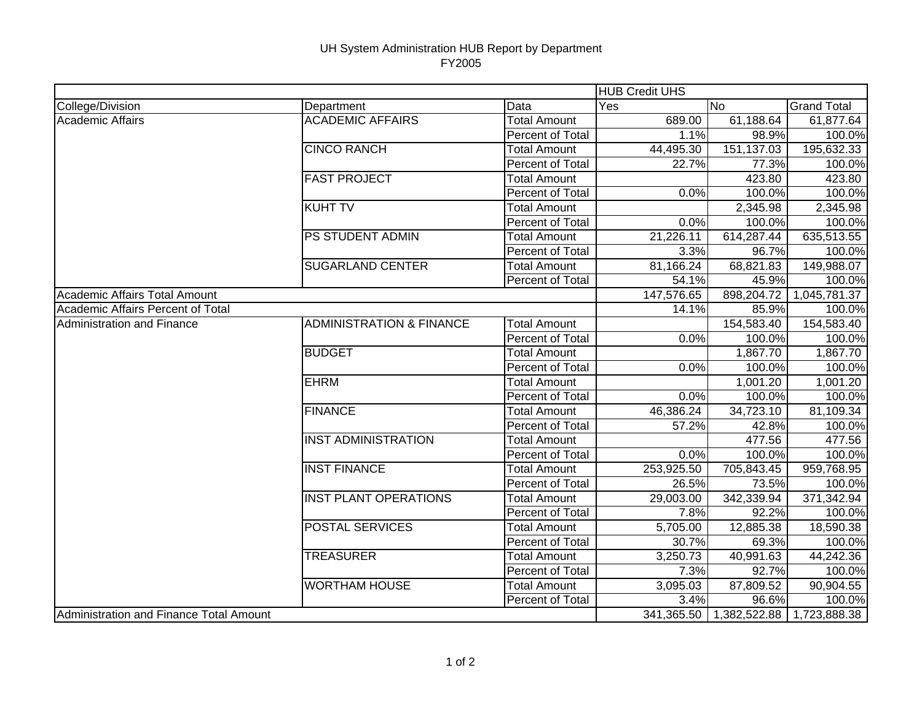## UH System Administration HUB Report by Department FY2005

|                                         |                                     |                     | <b>HUB Credit UHS</b> |                         |                    |
|-----------------------------------------|-------------------------------------|---------------------|-----------------------|-------------------------|--------------------|
| College/Division                        | Department                          | Data                | Yes                   | lNo.                    | <b>Grand Total</b> |
| Academic Affairs                        | <b>ACADEMIC AFFAIRS</b>             | <b>Total Amount</b> | 689.00                | 61,188.64               | 61,877.64          |
|                                         |                                     | Percent of Total    | 1.1%                  | 98.9%                   | 100.0%             |
|                                         | <b>CINCO RANCH</b>                  | Total Amount        | 44,495.30             | 151,137.03              | 195,632.33         |
|                                         |                                     | Percent of Total    | 22.7%                 | 77.3%                   | 100.0%             |
|                                         | <b>FAST PROJECT</b>                 | <b>Total Amount</b> |                       | 423.80                  | 423.80             |
|                                         |                                     | Percent of Total    | 0.0%                  | 100.0%                  | 100.0%             |
|                                         | <b>KUHT TV</b>                      | <b>Total Amount</b> |                       | 2,345.98                | 2,345.98           |
|                                         |                                     | Percent of Total    | 0.0%                  | 100.0%                  | 100.0%             |
|                                         | <b>PS STUDENT ADMIN</b>             | <b>Total Amount</b> | 21,226.11             | 614,287.44              | 635,513.55         |
|                                         |                                     | Percent of Total    | 3.3%                  | 96.7%                   | 100.0%             |
|                                         | <b>SUGARLAND CENTER</b>             | <b>Total Amount</b> | 81,166.24             | 68,821.83               | 149,988.07         |
|                                         |                                     | Percent of Total    | 54.1%                 | 45.9%                   | 100.0%             |
| Academic Affairs Total Amount           |                                     |                     | 147,576.65            | 898,204.72              | 1,045,781.37       |
| Academic Affairs Percent of Total       |                                     |                     | 14.1%                 | 85.9%                   | 100.0%             |
| Administration and Finance              | <b>ADMINISTRATION &amp; FINANCE</b> | <b>Total Amount</b> |                       | 154,583.40              | 154,583.40         |
|                                         |                                     | Percent of Total    | 0.0%                  | 100.0%                  | 100.0%             |
|                                         | <b>BUDGET</b>                       | <b>Total Amount</b> |                       | 1,867.70                | 1,867.70           |
|                                         |                                     | Percent of Total    | 0.0%                  | 100.0%                  | 100.0%             |
|                                         | <b>EHRM</b>                         | <b>Total Amount</b> |                       | 1,001.20                | 1,001.20           |
|                                         |                                     | Percent of Total    | 0.0%                  | 100.0%                  | 100.0%             |
|                                         | <b>FINANCE</b>                      | <b>Total Amount</b> | 46,386.24             | 34,723.10               | 81,109.34          |
|                                         |                                     | Percent of Total    | 57.2%                 | 42.8%                   | 100.0%             |
|                                         | <b>INST ADMINISTRATION</b>          | <b>Total Amount</b> |                       | 477.56                  | 477.56             |
|                                         |                                     | Percent of Total    | 0.0%                  | 100.0%                  | 100.0%             |
|                                         | <b>INST FINANCE</b>                 | <b>Total Amount</b> | 253,925.50            | 705,843.45              | 959,768.95         |
|                                         |                                     | Percent of Total    | 26.5%                 | 73.5%                   | 100.0%             |
|                                         | <b>INST PLANT OPERATIONS</b>        | <b>Total Amount</b> | 29,003.00             | 342,339.94              | 371,342.94         |
|                                         |                                     | Percent of Total    | 7.8%                  | 92.2%                   | 100.0%             |
|                                         | <b>POSTAL SERVICES</b>              | <b>Total Amount</b> | 5,705.00              | 12,885.38               | 18,590.38          |
|                                         |                                     | Percent of Total    | 30.7%                 | 69.3%                   | 100.0%             |
|                                         | <b>TREASURER</b>                    | <b>Total Amount</b> | 3,250.73              | 40,991.63               | 44,242.36          |
|                                         |                                     | Percent of Total    | 7.3%                  | 92.7%                   | 100.0%             |
|                                         | <b>WORTHAM HOUSE</b>                | <b>Total Amount</b> | 3,095.03              | 87,809.52               | 90,904.55          |
|                                         |                                     | Percent of Total    | 3.4%                  | 96.6%                   | 100.0%             |
| Administration and Finance Total Amount |                                     |                     |                       | 341,365.50 1,382,522.88 | 1,723,888.38       |